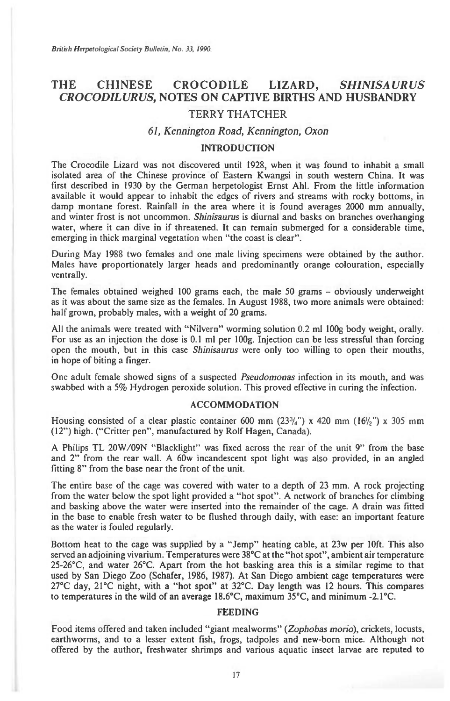# THE CHINESE CROCODILE LIZARD, SHINISAURUS *CROCODILURUS,* **NOTES ON CAPTIVE BIRTHS AND HUSBANDRY**  TERRY THATCHER

### *61, Kennington Road, Kennington, Oxon*

## INTRODUCTION

The Crocodile Lizard was not discovered until 1928, when it was found to inhabit a small isolated area of the Chinese province of Eastern Kwangsi in south western China. It was first described in 1930 by the German herpetologist Ernst Ahl. From the little information available it would appear to inhabit the edges of rivers and streams with rocky bottoms, in damp montane forest. Rainfall in the area where it is found averages 2000 mm annually, and winter frost is not uncommon. Shinisaurus is diurnal and basks on branches overhanging water, where it can dive in if threatened. It can remain submerged for a considerable time, emerging in thick marginal vegetation when "the coast is clear".

During May 1988 two females and one male living specimens were obtained by the author. Males have proportionately larger heads and predominantly orange colouration, especially ventrally.

The females obtained weighed 100 grams each, the male 50 grams — obviously underweight as it was about the same size as the females. In August 1988, two more animals were obtained: half grown, probably males, with a weight of 20 grams.

All the animals were treated with "Nilvern" worming solution 0.2 ml 100g body weight, orally. For use as an injection the dose is 0.1 ml per 100g. Injection can be less stressful than forcing open the mouth, but in this case Shinisaurus were only too willing to open their mouths, in hope of biting a finger.

One adult female showed signs of a suspected Pseudomonas infection in its mouth, and was swabbed with a 5% Hydrogen peroxide solution. This proved effective in curing the infection.

#### ACCOMMODATION

Housing consisted of a clear plastic container 600 mm  $(23^{3}/_{4}$ ") x 420 mm  $(16/_{2}$ ") x 305 mm (12") high. ("Critter pen", manufactured by Rolf Hagen, Canada).

A Philips TL 20W/09N "Blacklight" was fixed across the rear of the unit 9" from the base and 2" from the rear wall. A 60w incandescent spot light was also provided, in an angled fitting 8" from the base near the front of the unit.

The entire base of the cage was covered with water to a depth of 23 mm. A rock projecting from the water below the spot light provided a "hot spot". A network of branches for climbing and basking above the water were inserted into the remainder of the cage. A drain was fitted in the base to enable fresh water to be flushed through daily, with ease: an important feature as the water is fouled regularly.

Bottom heat to the cage was supplied by a "Jemp" heating cable, at 23w per 10ft. This also served an adjoining vivarium. Temperatures were 38°C at the "hot spot", ambient air temperature 25-26°C, and water 26°C. Apart from the hot basking area this is a similar regime to that used by San Diego Zoo (Schafer, 1986, 1987). At San Diego ambient cage temperatures were 27°C day, 21°C night, with a "hot spot" at 32°C. Day length was 12 hours. This compares to temperatures in the wild of an average 18.6°C, maximum 35°C, and minimum -2.1°C.

### FEEDING

Food items offered and taken included "giant mealworms" (Zophobas morio), crickets, locusts, earthworms, and to a lesser extent fish, frogs, tadpoles and new-born mice. Although not offered by the author, freshwater shrimps and various aquatic insect larvae are reputed to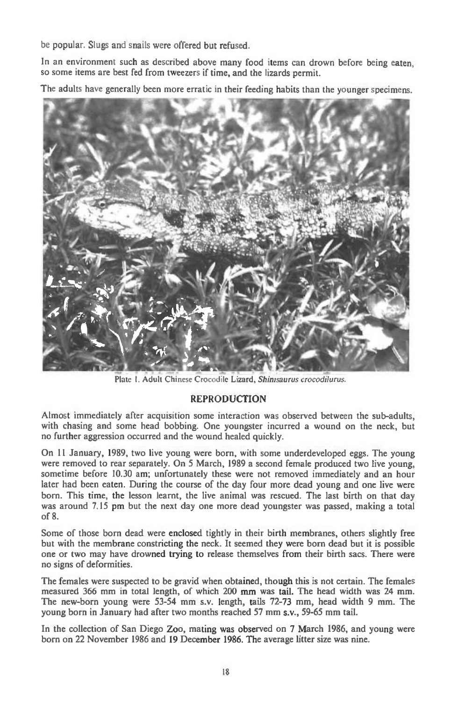be popular. Slugs and snails were offered but refused.

In an environment such as described above many food items can drown before being eaten, so some items are best fed from tweezers if time, and the lizards permit.

The adults have generally been more erratic in their feeding habits than the younger specimens.



Plate 1. Adult Chinese Crocodile Lizard, *Shinisaurus crocodilurus.* 

# REPRODUCTION

Almost immediately after acquisition some interaction was observed between the sub-adults, with chasing and some head bobbing. One youngster incurred a wound on the neck, but no further aggression occurred and the wound healed quickly.

On 11 January, 1989, two live young were born, with some underdeveloped eggs. The young were removed to rear separately. On 5 March, 1989 a second female produced two live young, sometime before 10.30 am; unfortunately these were not removed immediately and an hour later had been eaten. During the course of the day four more dead young and one live were born. This time, the lesson learnt, the live animal was rescued. The last birth on that day was around 7.15 pm but the next day one more dead youngster was passed, making a total of 8.

Some of those born dead were enclosed tightly in their birth membranes, others slightly free but with the membrane constricting the neck. It seemed they were born dead but it is possible one or two may have drowned trying to release themselves from their birth sacs. There were no signs of deformities.

The females were suspected to be gravid when obtained, though this is not certain. The females measured 366 mm in total length, of which 200 mm was tail. The head width was 24 mm. The new-born young were 53-54 mm s.v. length, tails 72-73 mm, head width 9 mm. The young born in January had after two months reached 57 mm s.v., 59-65 mm tail.

In the collection of San Diego Zoo, mating was observed on 7 March 1986, and young were born on 22 November 1986 and 19 December 1986. The average litter size was nine.